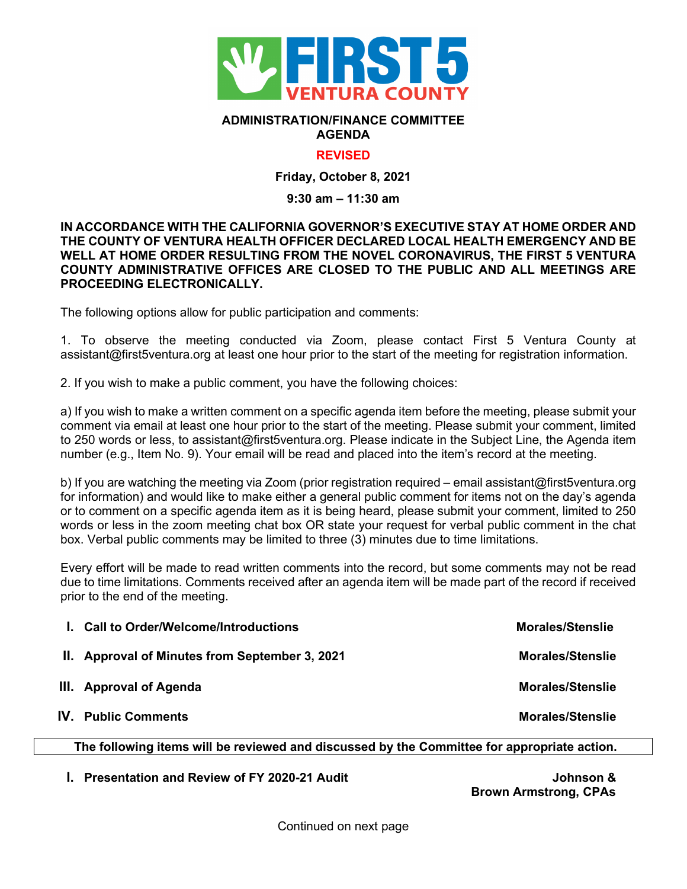

#### **ADMINISTRATION/FINANCE COMMITTEE AGENDA**

## **REVISED**

**Friday, October 8, 2021**

#### **9:30 am – 11:30 am**

### **IN ACCORDANCE WITH THE CALIFORNIA GOVERNOR'S EXECUTIVE STAY AT HOME ORDER AND THE COUNTY OF VENTURA HEALTH OFFICER DECLARED LOCAL HEALTH EMERGENCY AND BE WELL AT HOME ORDER RESULTING FROM THE NOVEL CORONAVIRUS, THE FIRST 5 VENTURA COUNTY ADMINISTRATIVE OFFICES ARE CLOSED TO THE PUBLIC AND ALL MEETINGS ARE PROCEEDING ELECTRONICALLY.**

The following options allow for public participation and comments:

1. To observe the meeting conducted via Zoom, please contact First 5 Ventura County at assistant@first5ventura.org at least one hour prior to the start of the meeting for registration information.

2. If you wish to make a public comment, you have the following choices:

a) If you wish to make a written comment on a specific agenda item before the meeting, please submit your comment via email at least one hour prior to the start of the meeting. Please submit your comment, limited to 250 words or less, to assistant@first5ventura.org. Please indicate in the Subject Line, the Agenda item number (e.g., Item No. 9). Your email will be read and placed into the item's record at the meeting.

b) If you are watching the meeting via Zoom (prior registration required – email assistant@first5ventura.org for information) and would like to make either a general public comment for items not on the day's agenda or to comment on a specific agenda item as it is being heard, please submit your comment, limited to 250 words or less in the zoom meeting chat box OR state your request for verbal public comment in the chat box. Verbal public comments may be limited to three (3) minutes due to time limitations.

Every effort will be made to read written comments into the record, but some comments may not be read due to time limitations. Comments received after an agenda item will be made part of the record if received prior to the end of the meeting.

| I. Call to Order/Welcome/Introductions         | <b>Morales/Stenslie</b> |
|------------------------------------------------|-------------------------|
| II. Approval of Minutes from September 3, 2021 | <b>Morales/Stenslie</b> |
| III. Approval of Agenda                        | <b>Morales/Stenslie</b> |
| <b>IV.</b> Public Comments                     | <b>Morales/Stenslie</b> |

# **The following items will be reviewed and discussed by the Committee for appropriate action.**

**I.** Presentation and Review of FY 2020-21 Audit **Johnson &** 

 **Brown Armstrong, CPAs**